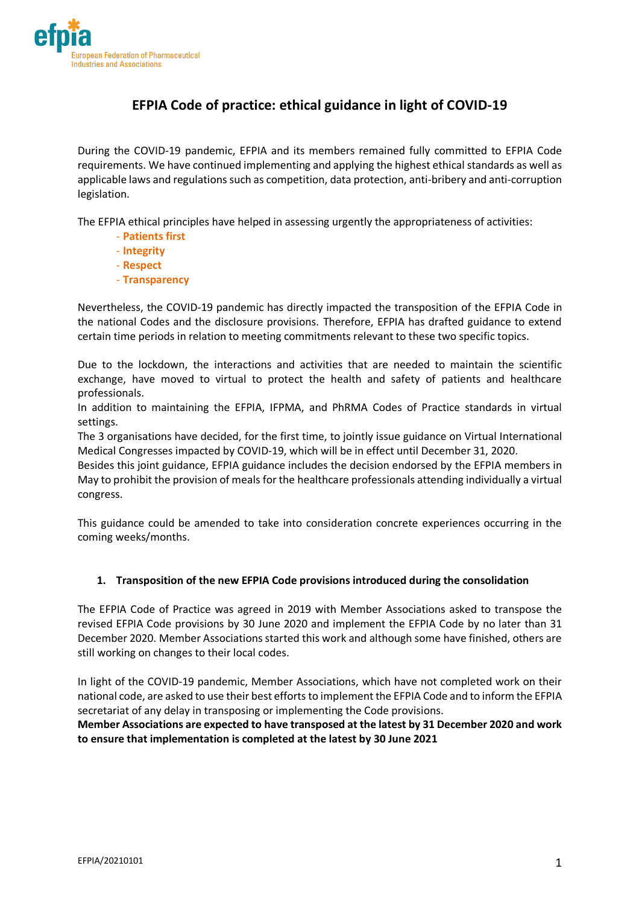

# **EFPIA Code of practice: ethical guidance in light of COVID-19**

During the COVID-19 pandemic, EFPIA and its members remained fully committed to EFPIA Code requirements. We have continued implementing and applying the highest ethical standards as well as applicable laws and regulations such as competition, data protection, anti-bribery and anti-corruption legislation.

The EFPIA ethical principles have helped in assessing urgently the appropriateness of activities:

- **Patients first**
- **Integrity**
- **Respect**
- **Transparency**

Nevertheless, the COVID-19 pandemic has directly impacted the transposition of the EFPIA Code in the national Codes and the disclosure provisions. Therefore, EFPIA has drafted guidance to extend certain time periods in relation to meeting commitments relevant to these two specific topics.

Due to the lockdown, the interactions and activities that are needed to maintain the scientific exchange, have moved to virtual to protect the health and safety of patients and healthcare professionals.

In addition to maintaining the EFPIA, IFPMA, and PhRMA Codes of Practice standards in virtual settings.

The 3 organisations have decided, for the first time, to jointly issue guidance on Virtual International Medical Congresses impacted by COVID-19, which will be in effect until December 31, 2020.

Besides this joint guidance, EFPIA guidance includes the decision endorsed by the EFPIA members in May to prohibit the provision of meals for the healthcare professionals attending individually a virtual congress.

This guidance could be amended to take into consideration concrete experiences occurring in the coming weeks/months.

#### **1. Transposition of the new EFPIA Code provisions introduced during the consolidation**

The EFPIA Code of Practice was agreed in 2019 with Member Associations asked to transpose the revised EFPIA Code provisions by 30 June 2020 and implement the EFPIA Code by no later than 31 December 2020. Member Associations started this work and although some have finished, others are still working on changes to their local codes.

In light of the COVID-19 pandemic, Member Associations, which have not completed work on their national code, are asked to use their best efforts to implement the EFPIA Code and to inform the EFPIA secretariat of any delay in transposing or implementing the Code provisions.

**Member Associations are expected to have transposed at the latest by 31 December 2020 and work to ensure that implementation is completed at the latest by 30 June 2021**